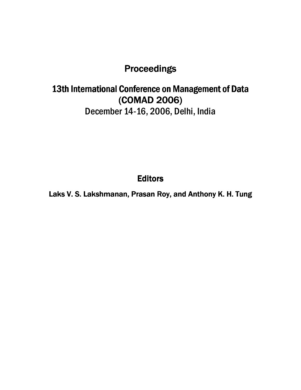### **Proceedings**

## 13th International Conference on Management of Data (COMAD 2006) December 14-16, 2006, Delhi, India

**Editors** 

Laks V. S. Lakshmanan, Prasan Roy, and Anthony K. H. Tung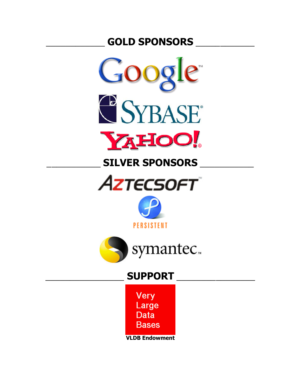## **GOLD SPONSORS**



## **SILVER SPONSORS**





**PERSISTENT** 



## **SUPPORT**

Very Large Data Bases

**VLDB Endowment**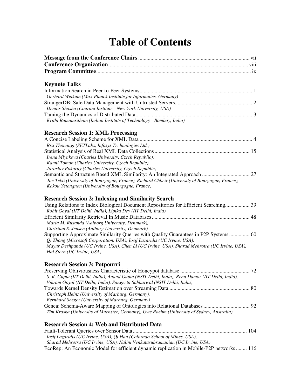# **Table of Contents**

#### **Keynote Talks**

| Gerhard Weikum (Max-Planck Institute for Informatics, Germany)      |  |
|---------------------------------------------------------------------|--|
|                                                                     |  |
| Dennis Shasha (Courant Institute - New York University, USA)        |  |
|                                                                     |  |
| Krithi Ramamritham (Indian Institute of Technology - Bombay, India) |  |
|                                                                     |  |

### **Research Session 1: XML Processing**

| Risi Thonangi (SETLabs, Infosys Technologies Ltd.)                                             |  |
|------------------------------------------------------------------------------------------------|--|
|                                                                                                |  |
| Irena Mlynkova (Charles University, Czech Republic),                                           |  |
| Kamil Toman (Charles University, Czech Republic),                                              |  |
| Jaroslav Pokorny (Charles University, Czech Republic)                                          |  |
|                                                                                                |  |
| Joe Tekli (University of Bourgogne, France), Richard Chbeir (University of Bourgogne, France), |  |
| Kokou Yetongnon (University of Bourgogne, France)                                              |  |

### **Research Session 2: Indexing and Similarity Search**

| Using Relations to Index Biological Document Repositories for Efficient Searching 39          |  |
|-----------------------------------------------------------------------------------------------|--|
| Rohit Goyal (IIT Delhi, India), Lipika Dey (IIT Delhi, India)                                 |  |
|                                                                                               |  |
| Maria M. Ruxanda (Aalborg University, Denmark),                                               |  |
| Christian S. Jensen (Aalborg University, Denmark)                                             |  |
| Supporting Approximate Similarity Queries with Quality Guarantees in P2P Systems  60          |  |
| Oi Zhong (Microsoft Corporation, USA), Iosif Lazaridis (UC Irvine, USA),                      |  |
| Mayur Deshpande (UC Irvine, USA), Chen Li (UC Irvine, USA), Sharad Mehrotra (UC Irvine, USA), |  |
| Hal Stern (UC Irvine, USA)                                                                    |  |
|                                                                                               |  |

### **Research Session 3: Potpourri**

| S. K. Gupta (IIT Delhi, India), Anand Gupta (NSIT Delhi, India), Renu Damor (IIT Delhi, India), |  |
|-------------------------------------------------------------------------------------------------|--|
| Vikram Goyal (IIT Delhi, India), Sangeeta Sabharwal (NSIT Delhi, India)                         |  |
|                                                                                                 |  |
| Christoph Heinz (University of Marburg, Germany),                                               |  |
| Bernhard Seeger (University of Marburg, Germany)                                                |  |
|                                                                                                 |  |
| Tim Kraska (University of Muenster, Germany), Uwe Roehm (University of Sydney, Australia)       |  |
|                                                                                                 |  |

| <b>Research Session 4: Web and Distributed Data</b>                                     |  |
|-----------------------------------------------------------------------------------------|--|
|                                                                                         |  |
| <i>Iosif Lazaridis (UC Irvine, USA), Qi Han (Colorado School of Mines, USA),</i>        |  |
| Sharad Mehrotra (UC Irvine, USA), Nalini Venkatasubramanian (UC Irvine, USA)            |  |
| EcoRep: An Economic Model for efficient dynamic replication in Mobile-P2P networks  116 |  |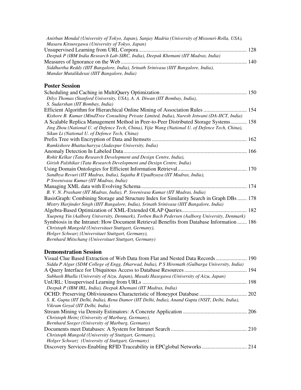| Anirban Mondal (University of Tokyo, Japan), Sanjay Madria (University of Missouri-Rolla, USA),<br>Masaru Kitsuregawa (University of Tokyo, Japan) |  |
|----------------------------------------------------------------------------------------------------------------------------------------------------|--|
|                                                                                                                                                    |  |
| Deepak P (IBM India Research Lab-SIRC, India), Deepak Khemani (IIT Madras, India)                                                                  |  |
|                                                                                                                                                    |  |
| Siddhartha Reddy (IIIT Bangalore, India), Srinath Srinivasa (IIIT Bangalore, India),<br>Mandar Mutalikdesai (IIIT Bangalore, India)                |  |
| <b>Poster Session</b>                                                                                                                              |  |
|                                                                                                                                                    |  |
| Dilys Thomas (Stanford University, USA), A. A. Diwan (IIT Bombay, India),                                                                          |  |
| S. Sudarshan (IIT Bombay, India)                                                                                                                   |  |
|                                                                                                                                                    |  |
| Kishore B. Kumar (MindTree Consulting Private Limited, India), Naresh Jotwani (DA-IICT, India)                                                     |  |
| A Scalable Replica Management Method in Peer-to-Peer Distributed Storage Systems 158                                                               |  |
| Jing Zhou (National U. of Defence Tech, China), Yijie Wang (National U. of Defence Tech, China),                                                   |  |
| Sikun Li (National U. of Defence Tech, China)                                                                                                      |  |
|                                                                                                                                                    |  |
| Ramkishore Bhattacharyya (Jadavpur University, India)                                                                                              |  |
| Rohit Kelkar (Tata Research Development and Design Centre, India),                                                                                 |  |
| Girish Palshikar (Tata Research Development and Design Centre, India)                                                                              |  |
|                                                                                                                                                    |  |
| Sandhya Revuri (IIT Madras, India), Sujatha R Upadhyaya (IIT Madras, India),                                                                       |  |
| P Sreenivasa Kumar (IIT Madras, India)                                                                                                             |  |
|                                                                                                                                                    |  |
| B. V. N. Prashant (IIT Madras, India), P. Sreenivasa Kumar (IIT Madras, India)                                                                     |  |
| BasisGraph: Combining Storage and Structure Index for Similarity Search in Graph DBs 178                                                           |  |
| Mistry Harjinder Singh (IIIT Bangalore, India), Srinath Srinivasa (IIIT Bangalore, India)                                                          |  |
|                                                                                                                                                    |  |
| Xuepeng Yin (Aalborg University, Denmark), Torben Bach Pedersen (Aalborg University, Denmark)                                                      |  |
| Symbiosis in the Intranet: How Document Retrieval Benefits from Database Information  186                                                          |  |
| Christoph Mangold (Universitaet Stuttgart, Germany),                                                                                               |  |
| Holger Schwarz (Universitaet Stuttgart, Germany),                                                                                                  |  |
| Bernhard Mitschang (Universitaet Stuttgart, Germany)                                                                                               |  |

### **Demonstration Session**

| Siddu P Algur (SDM College of Engg, Dharwad, India), P S Hiremath (Gulbarga University, India)   |  |
|--------------------------------------------------------------------------------------------------|--|
|                                                                                                  |  |
| Subhash Bhalla (University of Aizu, Japan), Masaki Hasegawa (University of Aizu, Japan)          |  |
|                                                                                                  |  |
| Deepak P (IBM IRL, India), Deepak Khemani (IIT Madras, India)                                    |  |
|                                                                                                  |  |
| S. K. Gupta (IIT Delhi, India), Renu Damor (IIT Delhi, India), Anand Gupta (NSIT, Delhi, India), |  |
| Vikram Goyal (IIT Delhi, India)                                                                  |  |
|                                                                                                  |  |
| Christoph Heinz (University of Marburg, Germany),                                                |  |
| Bernhard Seeger (University of Marburg, Germany)                                                 |  |
|                                                                                                  |  |
| Christoph Mangold (University of Stuttgart, Germany),                                            |  |
| Holger Schwarz (University of Stuttgart, Germany)                                                |  |
|                                                                                                  |  |